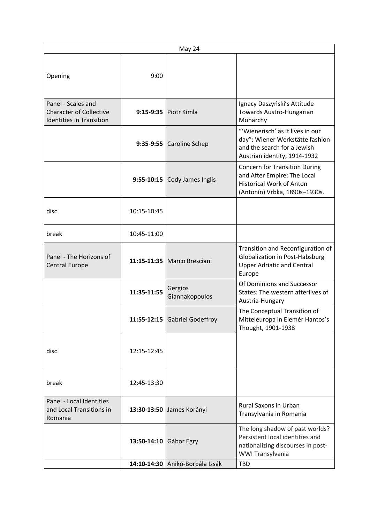| May 24                                                                                  |              |                               |                                                                                                                                         |  |  |
|-----------------------------------------------------------------------------------------|--------------|-------------------------------|-----------------------------------------------------------------------------------------------------------------------------------------|--|--|
| Opening                                                                                 | 9:00         |                               |                                                                                                                                         |  |  |
| Panel - Scales and<br><b>Character of Collective</b><br><b>Identities in Transition</b> | $9:15-9:35$  | Piotr Kimla                   | Ignacy Daszyński's Attitude<br>Towards Austro-Hungarian<br>Monarchy                                                                     |  |  |
|                                                                                         |              | $9:35-9:55$ Caroline Schep    | "'Wienerisch' as it lives in our<br>day": Wiener Werkstätte fashion<br>and the search for a Jewish<br>Austrian identity, 1914-1932      |  |  |
|                                                                                         | $9:55-10:15$ | Cody James Inglis             | <b>Concern for Transition During</b><br>and After Empire: The Local<br><b>Historical Work of Anton</b><br>(Antonín) Vrbka, 1890s-1930s. |  |  |
| disc.                                                                                   | 10:15-10:45  |                               |                                                                                                                                         |  |  |
| break                                                                                   | 10:45-11:00  |                               |                                                                                                                                         |  |  |
| Panel - The Horizons of<br><b>Central Europe</b>                                        |              | 11:15-11:35   Marco Bresciani | Transition and Reconfiguration of<br><b>Globalization in Post-Habsburg</b><br><b>Upper Adriatic and Central</b><br>Europe               |  |  |
|                                                                                         | 11:35-11:55  | Gergios<br>Giannakopoulos     | Of Dominions and Successor<br>States: The western afterlives of<br>Austria-Hungary                                                      |  |  |
|                                                                                         |              | 11:55-12:15 Gabriel Godeffroy | The Conceptual Transition of<br>Mitteleuropa in Elemér Hantos's<br>Thought, 1901-1938                                                   |  |  |
| disc.                                                                                   | 12:15-12:45  |                               |                                                                                                                                         |  |  |
| break                                                                                   | 12:45-13:30  |                               |                                                                                                                                         |  |  |
| Panel - Local Identities<br>and Local Transitions in<br>Romania                         |              | 13:30-13:50 James Korányi     | Rural Saxons in Urban<br>Transylvania in Romania                                                                                        |  |  |
|                                                                                         | 13:50-14:10  | Gábor Egry                    | The long shadow of past worlds?<br>Persistent local identities and<br>nationalizing discourses in post-<br>WWI Transylvania             |  |  |
|                                                                                         | 14:10-14:30  | Anikó-Borbála Izsák           | <b>TBD</b>                                                                                                                              |  |  |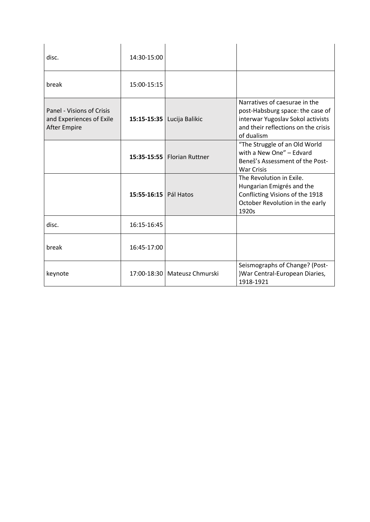| disc.                                                                        | 14:30-15:00             |                                |                                                                                                                                                             |
|------------------------------------------------------------------------------|-------------------------|--------------------------------|-------------------------------------------------------------------------------------------------------------------------------------------------------------|
| break                                                                        | 15:00-15:15             |                                |                                                                                                                                                             |
| Panel - Visions of Crisis<br>and Experiences of Exile<br><b>After Empire</b> |                         | 15:15-15:35   Lucija Balikic   | Narratives of caesurae in the<br>post-Habsburg space: the case of<br>interwar Yugoslav Sokol activists<br>and their reflections on the crisis<br>of dualism |
|                                                                              |                         | 15:35-15:55   Florian Ruttner  | "The Struggle of an Old World<br>with a New One" - Edvard<br>Beneš's Assessment of the Post-<br><b>War Crisis</b>                                           |
|                                                                              | 15:55-16:15   Pál Hatos |                                | The Revolution in Exile.<br>Hungarian Emigrés and the<br>Conflicting Visions of the 1918<br>October Revolution in the early<br>1920s                        |
| disc.                                                                        | 16:15-16:45             |                                |                                                                                                                                                             |
| break                                                                        | 16:45-17:00             |                                |                                                                                                                                                             |
| keynote                                                                      |                         | 17:00-18:30   Mateusz Chmurski | Seismographs of Change? (Post-<br>) War Central-European Diaries,<br>1918-1921                                                                              |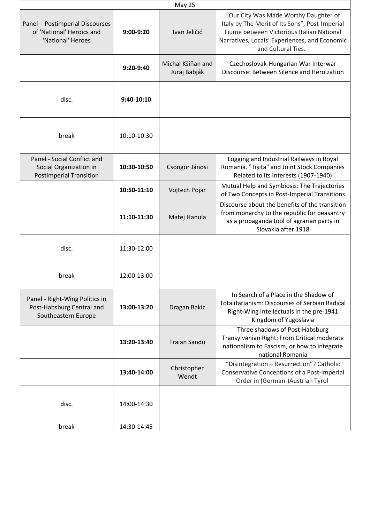| May 25                                                                                  |             |                                   |                                                                                                                                                                                                             |  |  |
|-----------------------------------------------------------------------------------------|-------------|-----------------------------------|-------------------------------------------------------------------------------------------------------------------------------------------------------------------------------------------------------------|--|--|
| Panel - Postimperial Discourses<br>of 'National' Heroics and<br>'National' Heroes       | $9:00-9:20$ | Ivan Jeličić                      | "Our City Was Made Worthy Daughter of<br>Italy by The Merit of Its Sons", Post-Imperial<br>Fiume between Victorious Italian National<br>Narratives, Locals' Experiences, and Economic<br>and Cultural Ties. |  |  |
|                                                                                         | 9:20-9:40   | Michal Kšiňan and<br>Juraj Babják | Czechoslovak-Hungarian War Interwar<br>Discourse: Between Silence and Heroization                                                                                                                           |  |  |
| disc.                                                                                   | 9:40-10:10  |                                   |                                                                                                                                                                                                             |  |  |
| break                                                                                   | 10:10-10:30 |                                   |                                                                                                                                                                                                             |  |  |
| Panel - Social Conflict and<br>Social Organization in<br><b>Postimperial Transition</b> | 10:30-10:50 | Csongor Jánosi                    | Logging and Industrial Railways in Royal<br>Romania. "Tișița" and Joint Stock Companies<br>Related to Its Interests (1907-1940)                                                                             |  |  |
|                                                                                         | 10:50-11:10 | Vojtech Pojar                     | Mutual Help and Symbiosis: The Trajectories<br>of Two Concepts in Post-Imperial Transitions                                                                                                                 |  |  |
|                                                                                         | 11:10-11:30 | Matej Hanula                      | Discourse about the benefits of the transition<br>from monarchy to the republic for peasantry<br>as a propaganda tool of agrarian party in<br>Slovakia after 1918                                           |  |  |
| disc.                                                                                   | 11:30-12:00 |                                   |                                                                                                                                                                                                             |  |  |
| break                                                                                   | 12:00-13:00 |                                   |                                                                                                                                                                                                             |  |  |
| Panel - Right-Wing Politics in<br>Post-Habsburg Central and<br>Southeastern Europe      | 13:00-13:20 | Dragan Bakic                      | In Search of a Place in the Shadow of<br><b>Totalitarianism: Discourses of Serbian Radical</b><br>Right-Wing Intellectuals in the pre-1941<br>Kingdom of Yugoslavia                                         |  |  |
|                                                                                         | 13:20-13:40 | <b>Traian Sandu</b>               | Three shadows of Post-Habsburg<br>Transylvanian Right: From Critical moderate<br>nationalism to Fascism, or how to integrate<br>national Romania                                                            |  |  |
|                                                                                         | 13:40-14:00 | Christopher<br>Wendt              | "Disintegration - Resurrection"? Catholic<br>Conservative Conceptions of a Post-Imperial<br>Order in (German-)Austrian Tyrol                                                                                |  |  |
| disc.                                                                                   | 14:00-14:30 |                                   |                                                                                                                                                                                                             |  |  |
| break                                                                                   | 14:30-14:45 |                                   |                                                                                                                                                                                                             |  |  |